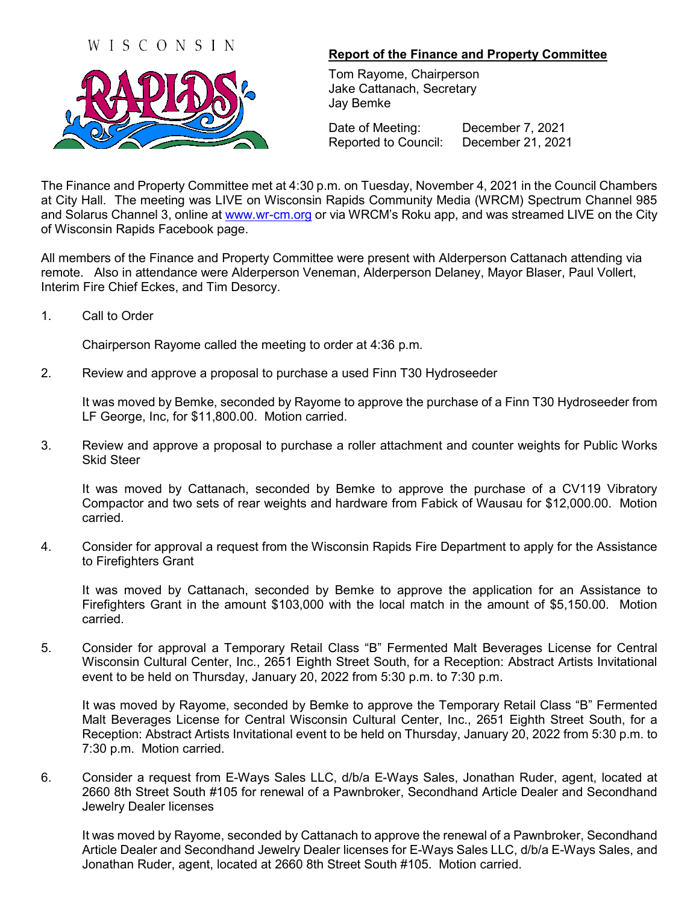



## **Report of the Finance and Property Committee**

Tom Rayome, Chairperson Jake Cattanach, Secretary Jay Bemke

Date of Meeting: December 7, 2021 Reported to Council: December 21, 2021

The Finance and Property Committee met at 4:30 p.m. on Tuesday, November 4, 2021 in the Council Chambers at City Hall. The meeting was LIVE on Wisconsin Rapids Community Media (WRCM) Spectrum Channel 985 and Solarus Channel 3, online at [www.wr-cm.org](http://www.wr-cm.org/) or via WRCM's Roku app, and was streamed LIVE on the City of Wisconsin Rapids Facebook page.

All members of the Finance and Property Committee were present with Alderperson Cattanach attending via remote. Also in attendance were Alderperson Veneman, Alderperson Delaney, Mayor Blaser, Paul Vollert, Interim Fire Chief Eckes, and Tim Desorcy.

1. Call to Order

Chairperson Rayome called the meeting to order at 4:36 p.m.

2. Review and approve a proposal to purchase a used Finn T30 Hydroseeder

It was moved by Bemke, seconded by Rayome to approve the purchase of a Finn T30 Hydroseeder from LF George, Inc, for \$11,800.00. Motion carried.

3. Review and approve a proposal to purchase a roller attachment and counter weights for Public Works Skid Steer

It was moved by Cattanach, seconded by Bemke to approve the purchase of a CV119 Vibratory Compactor and two sets of rear weights and hardware from Fabick of Wausau for \$12,000.00. Motion carried.

4. Consider for approval a request from the Wisconsin Rapids Fire Department to apply for the Assistance to Firefighters Grant

It was moved by Cattanach, seconded by Bemke to approve the application for an Assistance to Firefighters Grant in the amount \$103,000 with the local match in the amount of \$5,150.00. Motion carried.

5. Consider for approval a Temporary Retail Class "B" Fermented Malt Beverages License for Central Wisconsin Cultural Center, Inc., 2651 Eighth Street South, for a Reception: Abstract Artists Invitational event to be held on Thursday, January 20, 2022 from 5:30 p.m. to 7:30 p.m.

It was moved by Rayome, seconded by Bemke to approve the Temporary Retail Class "B" Fermented Malt Beverages License for Central Wisconsin Cultural Center, Inc., 2651 Eighth Street South, for a Reception: Abstract Artists Invitational event to be held on Thursday, January 20, 2022 from 5:30 p.m. to 7:30 p.m. Motion carried.

6. Consider a request from E-Ways Sales LLC, d/b/a E-Ways Sales, Jonathan Ruder, agent, located at 2660 8th Street South #105 for renewal of a Pawnbroker, Secondhand Article Dealer and Secondhand Jewelry Dealer licenses

It was moved by Rayome, seconded by Cattanach to approve the renewal of a Pawnbroker, Secondhand Article Dealer and Secondhand Jewelry Dealer licenses for E-Ways Sales LLC, d/b/a E-Ways Sales, and Jonathan Ruder, agent, located at 2660 8th Street South #105. Motion carried.